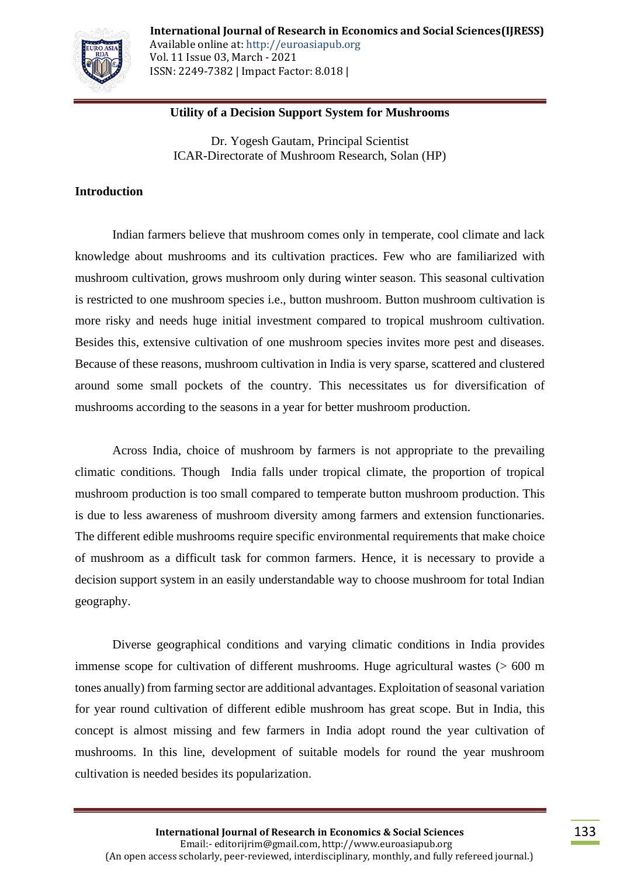

# **Utility of a Decision Support System for Mushrooms**

Dr. Yogesh Gautam, Principal Scientist ICAR-Directorate of Mushroom Research, Solan (HP)

## **Introduction**

Indian farmers believe that mushroom comes only in temperate, cool climate and lack knowledge about mushrooms and its cultivation practices. Few who are familiarized with mushroom cultivation, grows mushroom only during winter season. This seasonal cultivation is restricted to one mushroom species i.e., button mushroom. Button mushroom cultivation is more risky and needs huge initial investment compared to tropical mushroom cultivation. Besides this, extensive cultivation of one mushroom species invites more pest and diseases. Because of these reasons, mushroom cultivation in India is very sparse, scattered and clustered around some small pockets of the country. This necessitates us for diversification of mushrooms according to the seasons in a year for better mushroom production.

Across India, choice of mushroom by farmers is not appropriate to the prevailing climatic conditions. Though India falls under tropical climate, the proportion of tropical mushroom production is too small compared to temperate button mushroom production. This is due to less awareness of mushroom diversity among farmers and extension functionaries. The different edible mushrooms require specific environmental requirements that make choice of mushroom as a difficult task for common farmers. Hence, it is necessary to provide a decision support system in an easily understandable way to choose mushroom for total Indian geography.

Diverse geographical conditions and varying climatic conditions in India provides immense scope for cultivation of different mushrooms. Huge agricultural wastes (> 600 m tones anually) from farming sector are additional advantages. Exploitation of seasonal variation for year round cultivation of different edible mushroom has great scope. But in India, this concept is almost missing and few farmers in India adopt round the year cultivation of mushrooms. In this line, development of suitable models for round the year mushroom cultivation is needed besides its popularization.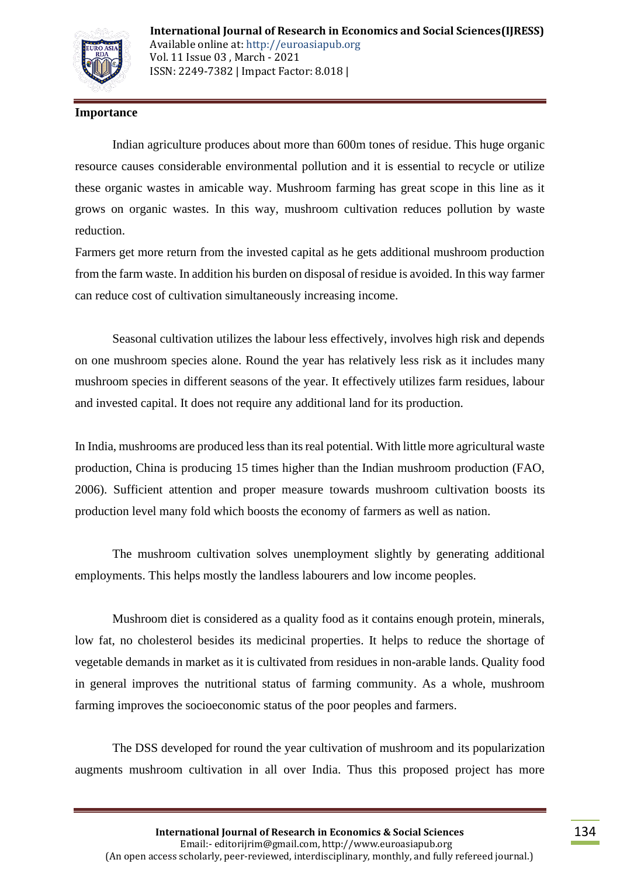

# **Importance**

Indian agriculture produces about more than 600m tones of residue. This huge organic resource causes considerable environmental pollution and it is essential to recycle or utilize these organic wastes in amicable way. Mushroom farming has great scope in this line as it grows on organic wastes. In this way, mushroom cultivation reduces pollution by waste reduction.

Farmers get more return from the invested capital as he gets additional mushroom production from the farm waste. In addition his burden on disposal of residue is avoided. In this way farmer can reduce cost of cultivation simultaneously increasing income.

Seasonal cultivation utilizes the labour less effectively, involves high risk and depends on one mushroom species alone. Round the year has relatively less risk as it includes many mushroom species in different seasons of the year. It effectively utilizes farm residues, labour and invested capital. It does not require any additional land for its production.

In India, mushrooms are produced less than its real potential. With little more agricultural waste production, China is producing 15 times higher than the Indian mushroom production (FAO, 2006). Sufficient attention and proper measure towards mushroom cultivation boosts its production level many fold which boosts the economy of farmers as well as nation.

The mushroom cultivation solves unemployment slightly by generating additional employments. This helps mostly the landless labourers and low income peoples.

Mushroom diet is considered as a quality food as it contains enough protein, minerals, low fat, no cholesterol besides its medicinal properties. It helps to reduce the shortage of vegetable demands in market as it is cultivated from residues in non-arable lands. Quality food in general improves the nutritional status of farming community. As a whole, mushroom farming improves the socioeconomic status of the poor peoples and farmers.

The DSS developed for round the year cultivation of mushroom and its popularization augments mushroom cultivation in all over India. Thus this proposed project has more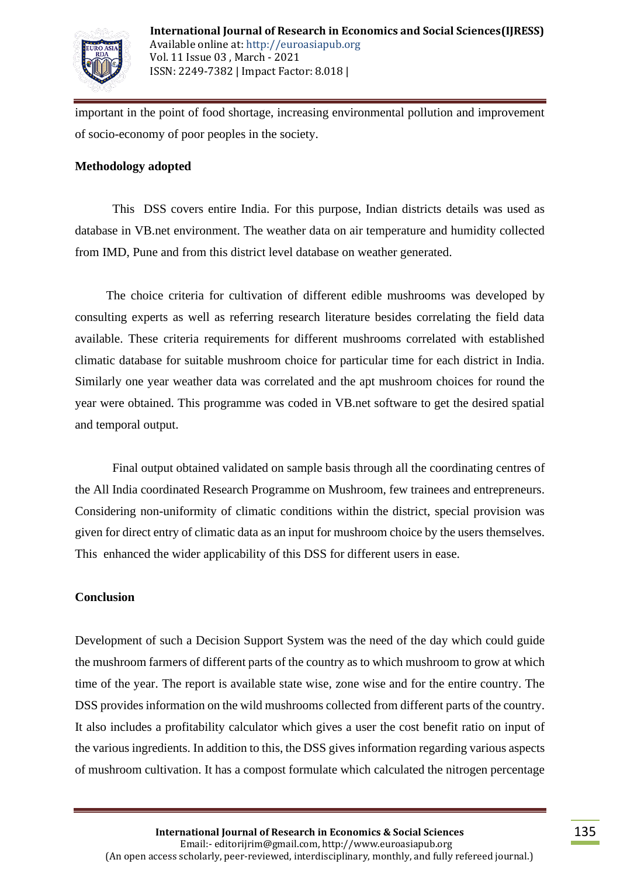

important in the point of food shortage, increasing environmental pollution and improvement of socio-economy of poor peoples in the society.

## **Methodology adopted**

This DSS covers entire India. For this purpose, Indian districts details was used as database in VB.net environment. The weather data on air temperature and humidity collected from IMD, Pune and from this district level database on weather generated.

 The choice criteria for cultivation of different edible mushrooms was developed by consulting experts as well as referring research literature besides correlating the field data available. These criteria requirements for different mushrooms correlated with established climatic database for suitable mushroom choice for particular time for each district in India. Similarly one year weather data was correlated and the apt mushroom choices for round the year were obtained. This programme was coded in VB.net software to get the desired spatial and temporal output.

Final output obtained validated on sample basis through all the coordinating centres of the All India coordinated Research Programme on Mushroom, few trainees and entrepreneurs. Considering non-uniformity of climatic conditions within the district, special provision was given for direct entry of climatic data as an input for mushroom choice by the users themselves. This enhanced the wider applicability of this DSS for different users in ease.

# **Conclusion**

Development of such a Decision Support System was the need of the day which could guide the mushroom farmers of different parts of the country as to which mushroom to grow at which time of the year. The report is available state wise, zone wise and for the entire country. The DSS provides information on the wild mushrooms collected from different parts of the country. It also includes a profitability calculator which gives a user the cost benefit ratio on input of the various ingredients. In addition to this, the DSS gives information regarding various aspects of mushroom cultivation. It has a compost formulate which calculated the nitrogen percentage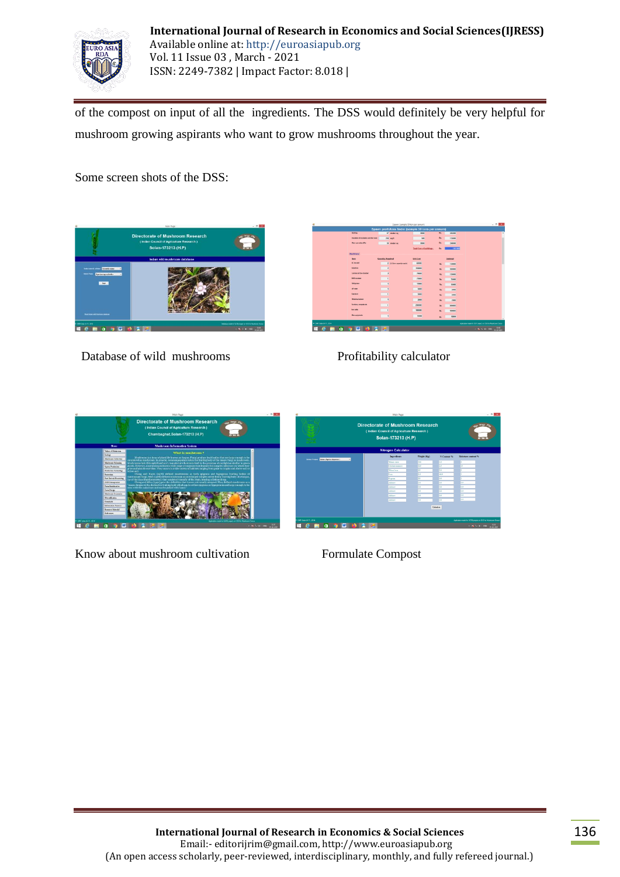

of the compost on input of all the ingredients. The DSS would definitely be very helpful for mushroom growing aspirants who want to grow mushrooms throughout the year.

Some screen shots of the DSS:



Database of wild mushrooms Profitability calculator

|                    |                                       |                          |                           | Spawn profit/loss finder (sample 50 tons per annum) |     |           |                                                            |
|--------------------|---------------------------------------|--------------------------|---------------------------|-----------------------------------------------------|-----|-----------|------------------------------------------------------------|
|                    | <b>Dubling</b>                        |                          | <b>E7</b> meter ap        | 8800                                                | Rx  | 636090    |                                                            |
|                    | brackday of insulation and shad exam- |                          | 250 sq.ft                 | 500                                                 | Rs. | 125080    |                                                            |
|                    | <b>Show cam sales office</b>          |                          | 30 meter sq               | 8000                                                | Rs. | 240000    |                                                            |
|                    |                                       |                          |                           | <b>Jatel Cost of Indianaps 1</b>                    | m.  | 100100    |                                                            |
|                    | <b>Hochinery</b>                      |                          |                           |                                                     |     |           |                                                            |
|                    | <b>Date</b>                           | <b>Quantity Required</b> |                           | <b>Unit Cost</b>                                    |     | Subtratal |                                                            |
|                    | AC for rold                           |                          | 2 01.6 ton capacity each) | 40000                                               | Rs. | 120800    |                                                            |
|                    | <b>America</b>                        | $\overline{z}$           |                           | 250000                                              | Ry. | 500000    |                                                            |
|                    | Laning at four charter                | z                        |                           | 73090                                               | Rx. | 150000    |                                                            |
|                    | <b>BOD</b> insulador                  | 1                        |                           | 75000                                               | Rn. | 75800     |                                                            |
|                    | Rehlshaus                             | $\overline{\phantom{a}}$ |                           | 13093                                               | Rx. | 15000     |                                                            |
|                    | of new                                | ٠                        |                           | sons                                                | Rs. | says      |                                                            |
|                    | <b>East show</b>                      | ï                        |                           | 5000                                                | Bs. | 5800      |                                                            |
|                    | <b>Weighing Infance</b>               | ٠                        |                           | 2001                                                | Rx. | 2000      |                                                            |
|                    | Furniture, computer etc.              | ٠                        |                           | 200000                                              | Rs. | 208000    |                                                            |
|                    | <b>bon sade</b>                       | ٠                        |                           | 130800                                              | Ru. | 100000    |                                                            |
|                    | <b>Max equipments</b>                 | ٠                        |                           | stead                                               | Rs. | 10006     |                                                            |
|                    |                                       |                          |                           |                                                     |     |           |                                                            |
| * DIRESIM-RUS 2014 |                                       |                          |                           |                                                     |     |           | Assication made for OST project on DSS for Mashroom Choice |
| m<br>ē             | m                                     | <b>AT</b>                |                           |                                                     |     |           | 0.91<br><b>AND ORD</b><br><b>HARMS</b>                     |



Know about mushroom cultivation<br>
Formulate Compost

|                                                         |                            | <b>Directorate of Mushroom Research</b><br>(Indian Council of Agriculture Research)<br>Solan-173213 (H.P) |                |                                                                                            |  |  |
|---------------------------------------------------------|----------------------------|-----------------------------------------------------------------------------------------------------------|----------------|--------------------------------------------------------------------------------------------|--|--|
|                                                         | <b>Nitrogen Calculator</b> |                                                                                                           |                |                                                                                            |  |  |
|                                                         | Incredirects               | Weight (Kg)                                                                                               | N Content %    | Maisture cauteur %                                                                         |  |  |
| Select Project Button Married Noorten 1<br>$\mathbf{v}$ | Wheat straw                | <b>Box</b>                                                                                                | <b>Inte</b>    | ĸ                                                                                          |  |  |
|                                                         | Chicken masses             | m                                                                                                         | $\overline{1}$ | m                                                                                          |  |  |
|                                                         | Wheel less                 | T5                                                                                                        | 30             |                                                                                            |  |  |
|                                                         | Cowa                       | m                                                                                                         | 16.1           |                                                                                            |  |  |
|                                                         | Oversea                    | 30                                                                                                        | 00             |                                                                                            |  |  |
|                                                         | <b>African</b>             | <b>Inn</b>                                                                                                | <b>Inn</b>     | <b>AT</b>                                                                                  |  |  |
|                                                         | AM are                     | $\overline{\alpha}$                                                                                       | 0.0            | $\overline{\alpha}$                                                                        |  |  |
|                                                         | AM sex                     | $\overline{00}$                                                                                           | <b>CO</b>      | $\overline{a}$                                                                             |  |  |
|                                                         | Add now                    | $\sqrt{2}$                                                                                                | 00             | 50                                                                                         |  |  |
|                                                         | AM are                     | 00                                                                                                        | 00             | 60                                                                                         |  |  |
|                                                         |                            |                                                                                                           | Calculate      |                                                                                            |  |  |
| DMR Solve 64 PL 2014<br>w<br>m                          |                            |                                                                                                           |                | Audioacon made for SEPR properties (SSS for Mushman Chasse)<br>13.57<br><b>A BEST BOOK</b> |  |  |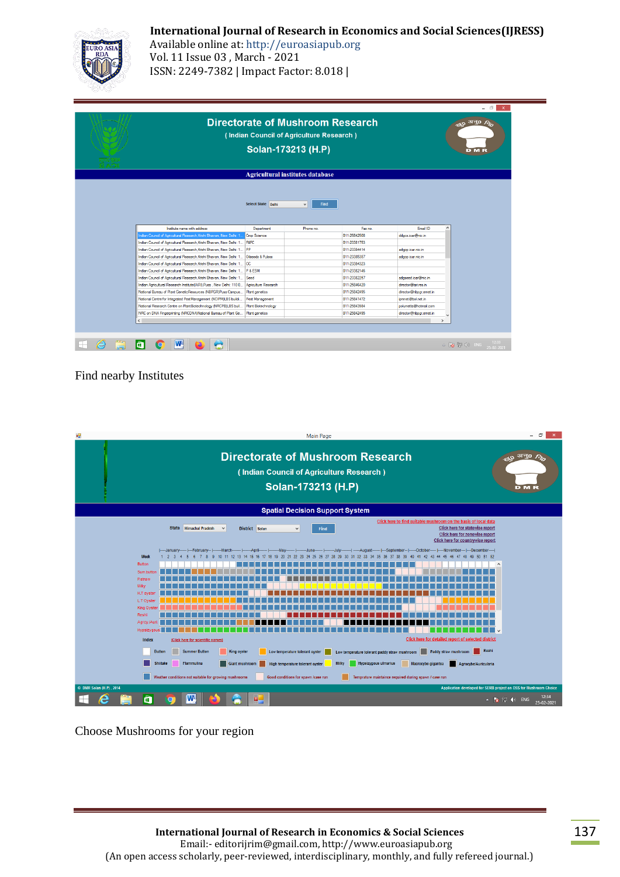## **International Journal of Research in Economics and Social Sciences(IJRESS)**



Available online at: http://euroasiapub.org Vol. 11 Issue 03 , March - 2021 ISSN: 2249-7382 | Impact Factor: 8.018 |

| <b>Directorate of Mushroom Research</b>                                                | <sub>290</sub> 0 अनु0 <i>R<sub>io</sub></i><br>D M |                             |                                                               |                                          |  |
|----------------------------------------------------------------------------------------|----------------------------------------------------|-----------------------------|---------------------------------------------------------------|------------------------------------------|--|
|                                                                                        |                                                    |                             |                                                               |                                          |  |
|                                                                                        | Select State Delhi                                 | <b>Find</b><br>$\checkmark$ |                                                               |                                          |  |
| Institute name with address                                                            | Department                                         | Phone no.                   | Fax no                                                        | Fmail ID                                 |  |
| Indian Council of Agricultural Research, Krishi Bhavan, New Delhi: 1                   | Crop Science                                       |                             | 011-25842508                                                  | ddgcs.icar@nic.in                        |  |
|                                                                                        |                                                    |                             | 011-23381753                                                  |                                          |  |
| Indian Council of Agricultural Research, Krishi Bhavan, New Delhi: 1   F&FC            |                                                    |                             |                                                               |                                          |  |
| Indian Council of Agricultural Research, Krishi Bhavan, New Delhi: 1 PP                |                                                    |                             | 011-23384414                                                  | adgpp.icar.nic.in                        |  |
| Indian Council of Agricultural Research, Krishi Bhavan, New Delhi: 1 Oilseeds & Pulses |                                                    |                             | 011-23385357                                                  | adgop.icar.nic.in                        |  |
| Indian Council of Agricultural Research, Krishi Bhavan, New Delhi: 1 CC                |                                                    |                             | 011-23384323                                                  |                                          |  |
| Indian Council of Agricultural Research, Krishi Bhavan, New Delhi: 1 P & ESM           |                                                    |                             | 011-23382146                                                  |                                          |  |
| Indian Council of Agricultural Research, Krishi Bhavan, New Delhi: 1                   | Seed                                               |                             | 011-23382257                                                  | adgseed.icar@nic.in                      |  |
| Indian Agricultural Research Institute(IARI), Pusa, New Delhi: 110 0                   | Agriculture Research                               |                             | 011-25846420                                                  | director@iari.res.in                     |  |
| National Bureau of Plant GeneticResources (NBPGR)Pusa Campus                           | <b>Plant genetics</b>                              |                             | 011-25842495                                                  | director@nbpgr.emet.in                   |  |
| National Centre for Integrated PestManagement (NCIPM)LBS buildi.                       | Pest Management                                    |                             | 011-25841472                                                  | ipmnet@bol.net.in                        |  |
| National Research Centre on PlantBiotechnology (NRCPB)LBS buil.                        | <b>Plant Biotechnology</b>                         |                             | 011-25843984                                                  | polumetla@hotmail.com                    |  |
| NRC on DNA Fingerprinting (NRCDNA)National Bureau of Plant Ge                          | Plant genetics                                     |                             | 011-25842495                                                  | director@nbpgr.emet.in                   |  |
|                                                                                        |                                                    |                             | Solan-173213 (H.P)<br><b>Agricultural institutes database</b> | (Indian Council of Agriculture Research) |  |

## Find nearby Institutes

| øΞ                                     | <b>Main Page</b>                                                                                                                                                                                                                                                                                                                                                                                                                                                                                                                                                                                                                                                                                                                                                                                                                                                                                                                                                                                                                                    | $\Box$<br>$\mathsf{x}$                              |  |  |  |  |  |  |  |
|----------------------------------------|-----------------------------------------------------------------------------------------------------------------------------------------------------------------------------------------------------------------------------------------------------------------------------------------------------------------------------------------------------------------------------------------------------------------------------------------------------------------------------------------------------------------------------------------------------------------------------------------------------------------------------------------------------------------------------------------------------------------------------------------------------------------------------------------------------------------------------------------------------------------------------------------------------------------------------------------------------------------------------------------------------------------------------------------------------|-----------------------------------------------------|--|--|--|--|--|--|--|
|                                        | <b>Directorate of Mushroom Research</b><br>(Indian Council of Agriculture Research)<br>Solan-173213 (H.P)                                                                                                                                                                                                                                                                                                                                                                                                                                                                                                                                                                                                                                                                                                                                                                                                                                                                                                                                           | <b>BO 31 TO BO</b><br><b>DMR</b>                    |  |  |  |  |  |  |  |
| <b>Spatial Decision Support System</b> |                                                                                                                                                                                                                                                                                                                                                                                                                                                                                                                                                                                                                                                                                                                                                                                                                                                                                                                                                                                                                                                     |                                                     |  |  |  |  |  |  |  |
|                                        | Click here to find suitable mushroom on the basis of local data<br><b>State</b><br><b>Click here for statewise report</b><br><b>Himachal Pradesh</b><br>$\checkmark$<br>District Solan<br>v<br><b>Find</b><br>Click here for zonewise report<br>Click here for countrywise report                                                                                                                                                                                                                                                                                                                                                                                                                                                                                                                                                                                                                                                                                                                                                                   |                                                     |  |  |  |  |  |  |  |
|                                        | --------August-------  ----September--  -----October-----  ----November---  ---December----- <br>I-February-<br>-Julv-<br>----January--<br>-March<br>Week<br>50 51 52<br>-29<br>-33<br>45<br>46<br>49<br>10<br>-27<br>-12<br>-13<br><b>Button</b><br>$\wedge$<br>Sum.butto<br>P.straw<br>Milky<br>H.T ovster<br>L.T Ovster<br>King Oyster<br>Reshi<br>Agrey/Auri.<br>Hypsizygous<br>l v<br><b>Click here for detailed report of selected district</b><br>Index<br>(Click here for scientific names)<br>Reshi<br><b>Button</b><br><b>Summer Button</b><br><b>King oyster</b><br>Low temperature tolerant oyster<br>Low temperature tolerant paddy straw mushroom<br>Paddy straw mushroom<br><b>Flammulina</b><br><b>Milky</b><br><b>Hypsizygous ulmarius</b><br><b>Shiitake</b><br>Macrocybe gigantea<br><b>Giant mushroom</b><br>Agrocybe/Auricularia<br>High temperature tolerant oyster<br>Weather conditions not suitable for growing mushrooms<br>Good conditions for spawn /case run<br>Temprature maintaince required during spawn / case run |                                                     |  |  |  |  |  |  |  |
| © DMR Solan (H.P) . 2014<br>▬<br>-     | Application developed for SERB project on DSS for Mushroom Choice<br>Ħ                                                                                                                                                                                                                                                                                                                                                                                                                                                                                                                                                                                                                                                                                                                                                                                                                                                                                                                                                                              | 12:34<br>$\sim$ $\frac{1}{2}$ (1) ENG<br>25-02-2021 |  |  |  |  |  |  |  |

Choose Mushrooms for your region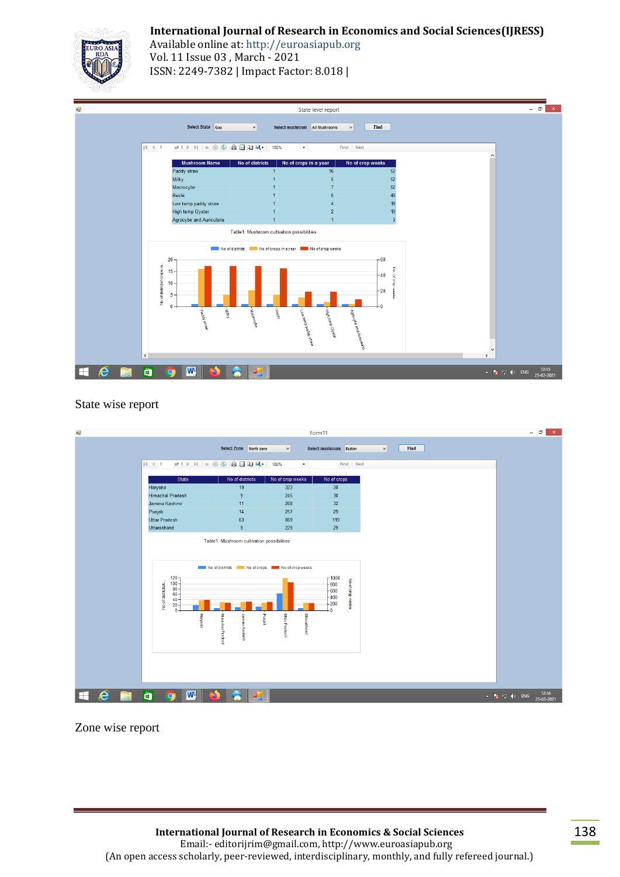## **International Journal of Research in Economics and Social Sciences(IJRESS)**



Available online at: http://euroasiapub.org Vol. 11 Issue 03 , March - 2021 ISSN: 2249-7382 | Impact Factor: 8.018 |



### State wise report



Zone wise report